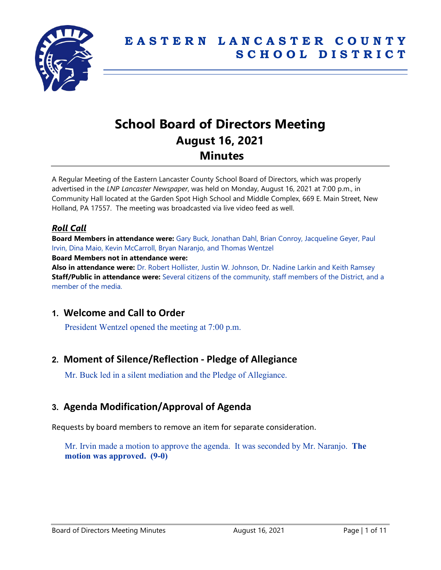

# **School Board of Directors Meeting August 16, 2021 Minutes**

A Regular Meeting of the Eastern Lancaster County School Board of Directors, which was properly advertised in the *LNP Lancaster Newspaper*, was held on Monday, August 16, 2021 at 7:00 p.m., in Community Hall located at the Garden Spot High School and Middle Complex, 669 E. Main Street, New Holland, PA 17557. The meeting was broadcasted via live video feed as well.

# *Roll Call*

**Board Members in attendance were:** Gary Buck, Jonathan Dahl, Brian Conroy, Jacqueline Geyer, Paul Irvin, Dina Maio, Kevin McCarroll, Bryan Naranjo, and Thomas Wentzel **Board Members not in attendance were:**

**Also in attendance were:** Dr. Robert Hollister, Justin W. Johnson, Dr. Nadine Larkin and Keith Ramsey **Staff/Public in attendance were:** Several citizens of the community, staff members of the District, and a member of the media.

# **1. Welcome and Call to Order**

President Wentzel opened the meeting at 7:00 p.m.

# **2. Moment of Silence/Reflection - Pledge of Allegiance**

Mr. Buck led in a silent mediation and the Pledge of Allegiance.

# **3. Agenda Modification/Approval of Agenda**

Requests by board members to remove an item for separate consideration.

Mr. Irvin made a motion to approve the agenda. It was seconded by Mr. Naranjo. **The motion was approved. (9-0)**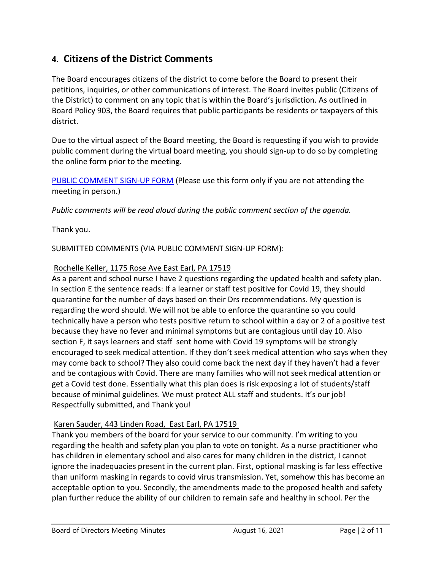# **4. Citizens of the District Comments**

The Board encourages citizens of the district to come before the Board to present their petitions, inquiries, or other communications of interest. The Board invites public (Citizens of the District) to comment on any topic that is within the Board's jurisdiction. As outlined in Board Policy 903, the Board requires that public participants be residents or taxpayers of this district.

Due to the virtual aspect of the Board meeting, the Board is requesting if you wish to provide public comment during the virtual board meeting, you should sign-up to do so by completing the online form prior to the meeting.

[PUBLIC COMMENT SIGN-UP FORM](https://forms.gle/zDXXoX8rZQUxt1Ap6) (Please use this form only if you are not attending the meeting in person.)

*Public comments will be read aloud during the public comment section of the agenda.*

Thank you.

SUBMITTED COMMENTS (VIA PUBLIC COMMENT SIGN-UP FORM):

#### Rochelle Keller, 1175 Rose Ave East Earl, PA 17519

As a parent and school nurse I have 2 questions regarding the updated health and safety plan. In section E the sentence reads: If a learner or staff test positive for Covid 19, they should quarantine for the number of days based on their Drs recommendations. My question is regarding the word should. We will not be able to enforce the quarantine so you could technically have a person who tests positive return to school within a day or 2 of a positive test because they have no fever and minimal symptoms but are contagious until day 10. Also section F, it says learners and staff sent home with Covid 19 symptoms will be strongly encouraged to seek medical attention. If they don't seek medical attention who says when they may come back to school? They also could come back the next day if they haven't had a fever and be contagious with Covid. There are many families who will not seek medical attention or get a Covid test done. Essentially what this plan does is risk exposing a lot of students/staff because of minimal guidelines. We must protect ALL staff and students. It's our job! Respectfully submitted, and Thank you!

# Karen Sauder, 443 Linden Road, East Earl, PA 17519

Thank you members of the board for your service to our community. I'm writing to you regarding the health and safety plan you plan to vote on tonight. As a nurse practitioner who has children in elementary school and also cares for many children in the district, I cannot ignore the inadequacies present in the current plan. First, optional masking is far less effective than uniform masking in regards to covid virus transmission. Yet, somehow this has become an acceptable option to you. Secondly, the amendments made to the proposed health and safety plan further reduce the ability of our children to remain safe and healthy in school. Per the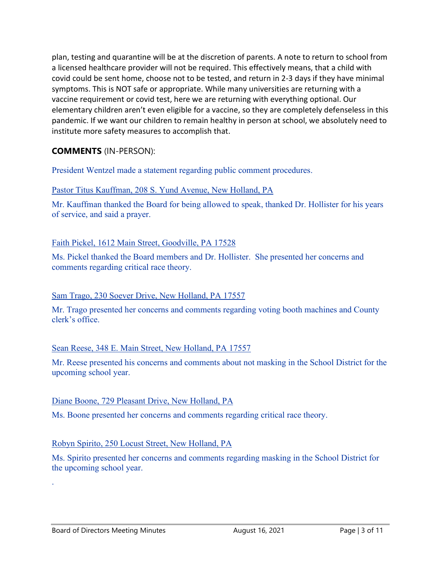plan, testing and quarantine will be at the discretion of parents. A note to return to school from a licensed healthcare provider will not be required. This effectively means, that a child with covid could be sent home, choose not to be tested, and return in 2-3 days if they have minimal symptoms. This is NOT safe or appropriate. While many universities are returning with a vaccine requirement or covid test, here we are returning with everything optional. Our elementary children aren't even eligible for a vaccine, so they are completely defenseless in this pandemic. If we want our children to remain healthy in person at school, we absolutely need to institute more safety measures to accomplish that.

# **COMMENTS** (IN-PERSON):

President Wentzel made a statement regarding public comment procedures.

# Pastor Titus Kauffman, 208 S. Yund Avenue, New Holland, PA

Mr. Kauffman thanked the Board for being allowed to speak, thanked Dr. Hollister for his years of service, and said a prayer.

# Faith Pickel, 1612 Main Street, Goodville, PA 17528

Ms. Pickel thanked the Board members and Dr. Hollister. She presented her concerns and comments regarding critical race theory.

# Sam Trago, 230 Soever Drive, New Holland, PA 17557

Mr. Trago presented her concerns and comments regarding voting booth machines and County clerk's office.

# Sean Reese, 348 E. Main Street, New Holland, PA 17557

Mr. Reese presented his concerns and comments about not masking in the School District for the upcoming school year.

# Diane Boone, 729 Pleasant Drive, New Holland, PA

Ms. Boone presented her concerns and comments regarding critical race theory.

# Robyn Spirito, 250 Locust Street, New Holland, PA

Ms. Spirito presented her concerns and comments regarding masking in the School District for the upcoming school year.

.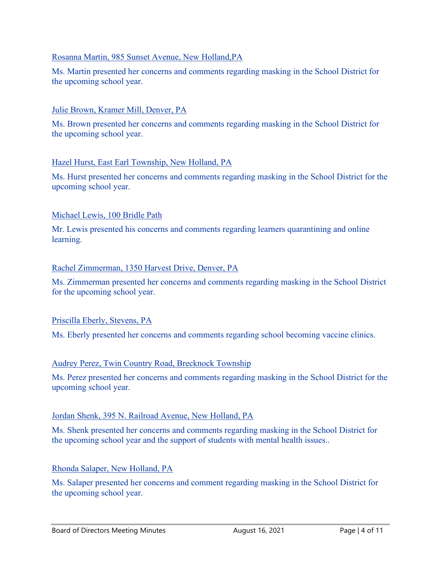## Rosanna Martin, 985 Sunset Avenue, New Holland,PA

Ms. Martin presented her concerns and comments regarding masking in the School District for the upcoming school year.

### Julie Brown, Kramer Mill, Denver, PA

Ms. Brown presented her concerns and comments regarding masking in the School District for the upcoming school year.

#### Hazel Hurst, East Earl Township, New Holland, PA

Ms. Hurst presented her concerns and comments regarding masking in the School District for the upcoming school year.

#### Michael Lewis, 100 Bridle Path

Mr. Lewis presented his concerns and comments regarding learners quarantining and online learning.

#### Rachel Zimmerman, 1350 Harvest Drive, Denver, PA

Ms. Zimmerman presented her concerns and comments regarding masking in the School District for the upcoming school year.

# Priscilla Eberly, Stevens, PA

Ms. Eberly presented her concerns and comments regarding school becoming vaccine clinics.

#### Audrey Perez, Twin Country Road, Brecknock Township

Ms. Perez presented her concerns and comments regarding masking in the School District for the upcoming school year.

#### Jordan Shenk, 395 N. Railroad Avenue, New Holland, PA

Ms. Shenk presented her concerns and comments regarding masking in the School District for the upcoming school year and the support of students with mental health issues..

#### Rhonda Salaper, New Holland, PA

Ms. Salaper presented her concerns and comment regarding masking in the School District for the upcoming school year.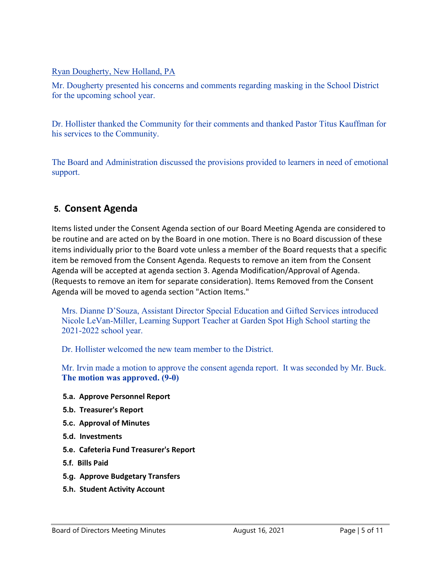# Ryan Dougherty, New Holland, PA

Mr. Dougherty presented his concerns and comments regarding masking in the School District for the upcoming school year.

Dr. Hollister thanked the Community for their comments and thanked Pastor Titus Kauffman for his services to the Community.

The Board and Administration discussed the provisions provided to learners in need of emotional support.

# **5. Consent Agenda**

Items listed under the Consent Agenda section of our Board Meeting Agenda are considered to be routine and are acted on by the Board in one motion. There is no Board discussion of these items individually prior to the Board vote unless a member of the Board requests that a specific item be removed from the Consent Agenda. Requests to remove an item from the Consent Agenda will be accepted at agenda section 3. Agenda Modification/Approval of Agenda. (Requests to remove an item for separate consideration). Items Removed from the Consent Agenda will be moved to agenda section "Action Items."

Mrs. Dianne D'Souza, Assistant Director Special Education and Gifted Services introduced Nicole LeVan-Miller, Learning Support Teacher at Garden Spot High School starting the 2021-2022 school year.

Dr. Hollister welcomed the new team member to the District.

Mr. Irvin made a motion to approve the consent agenda report. It was seconded by Mr. Buck. **The motion was approved. (9-0)**

# **5.a. Approve Personnel Report**

- **5.b. Treasurer's Report**
- **5.c. Approval of Minutes**
- **5.d. Investments**
- **5.e. Cafeteria Fund Treasurer's Report**
- **5.f. Bills Paid**
- **5.g. Approve Budgetary Transfers**
- **5.h. Student Activity Account**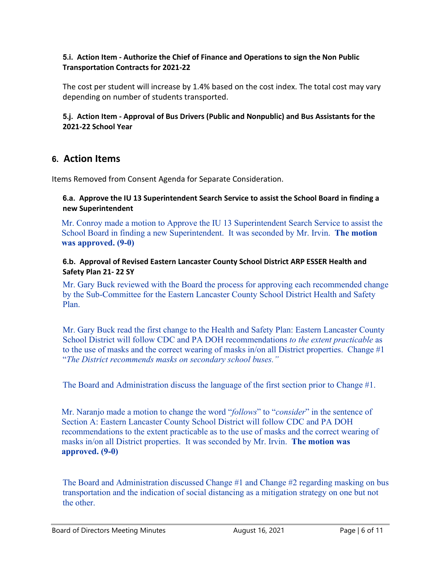# **5.i. Action Item - Authorize the Chief of Finance and Operations to sign the Non Public Transportation Contracts for 2021-22**

The cost per student will increase by 1.4% based on the cost index. The total cost may vary depending on number of students transported.

# **5.j. Action Item - Approval of Bus Drivers (Public and Nonpublic) and Bus Assistants for the 2021-22 School Year**

# **6. Action Items**

Items Removed from Consent Agenda for Separate Consideration.

# **6.a. Approve the IU 13 Superintendent Search Service to assist the School Board in finding a new Superintendent**

Mr. Conroy made a motion to Approve the IU 13 Superintendent Search Service to assist the School Board in finding a new Superintendent. It was seconded by Mr. Irvin. **The motion was approved. (9-0)**

# **6.b. Approval of Revised Eastern Lancaster County School District ARP ESSER Health and Safety Plan 21- 22 SY**

Mr. Gary Buck reviewed with the Board the process for approving each recommended change by the Sub-Committee for the Eastern Lancaster County School District Health and Safety Plan.

Mr. Gary Buck read the first change to the Health and Safety Plan: Eastern Lancaster County School District will follow CDC and PA DOH recommendations *to the extent practicable* as to the use of masks and the correct wearing of masks in/on all District properties. Change  $\#1$ "*The District recommends masks on secondary school buses."*

The Board and Administration discuss the language of the first section prior to Change #1.

Mr. Naranjo made a motion to change the word "*follows*" to "*consider*" in the sentence of Section A: Eastern Lancaster County School District will follow CDC and PA DOH recommendations to the extent practicable as to the use of masks and the correct wearing of masks in/on all District properties. It was seconded by Mr. Irvin. **The motion was approved. (9-0)**

The Board and Administration discussed Change #1 and Change #2 regarding masking on bus transportation and the indication of social distancing as a mitigation strategy on one but not the other.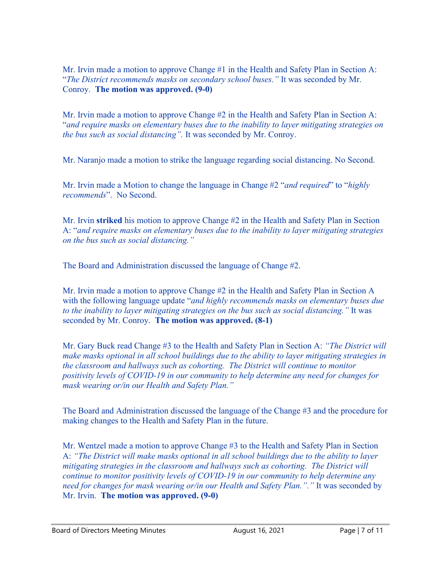Mr. Irvin made a motion to approve Change #1 in the Health and Safety Plan in Section A: "*The District recommends masks on secondary school buses."* It was seconded by Mr. Conroy. **The motion was approved. (9-0)**

Mr. Irvin made a motion to approve Change #2 in the Health and Safety Plan in Section A: "*and require masks on elementary buses due to the inability to layer mitigating strategies on the bus such as social distancing".* It was seconded by Mr. Conroy.

Mr. Naranjo made a motion to strike the language regarding social distancing. No Second.

Mr. Irvin made a Motion to change the language in Change #2 "*and required*" to "*highly recommends*". No Second.

Mr. Irvin **striked** his motion to approve Change #2 in the Health and Safety Plan in Section A: "*and require masks on elementary buses due to the inability to layer mitigating strategies on the bus such as social distancing."*

The Board and Administration discussed the language of Change #2.

Mr. Irvin made a motion to approve Change #2 in the Health and Safety Plan in Section A with the following language update "*and highly recommends masks on elementary buses due to the inability to layer mitigating strategies on the bus such as social distancing."* It was seconded by Mr. Conroy. **The motion was approved. (8-1)**

Mr. Gary Buck read Change #3 to the Health and Safety Plan in Section A: *"The District will make masks optional in all school buildings due to the ability to layer mitigating strategies in the classroom and hallways such as cohorting. The District will continue to monitor positivity levels of COVID-19 in our community to help determine any need for changes for mask wearing or/in our Health and Safety Plan."*

The Board and Administration discussed the language of the Change #3 and the procedure for making changes to the Health and Safety Plan in the future.

Mr. Wentzel made a motion to approve Change #3 to the Health and Safety Plan in Section A: *"The District will make masks optional in all school buildings due to the ability to layer mitigating strategies in the classroom and hallways such as cohorting. The District will continue to monitor positivity levels of COVID-19 in our community to help determine any need for changes for mask wearing or/in our Health and Safety Plan."."* It was seconded by Mr. Irvin. **The motion was approved. (9-0)**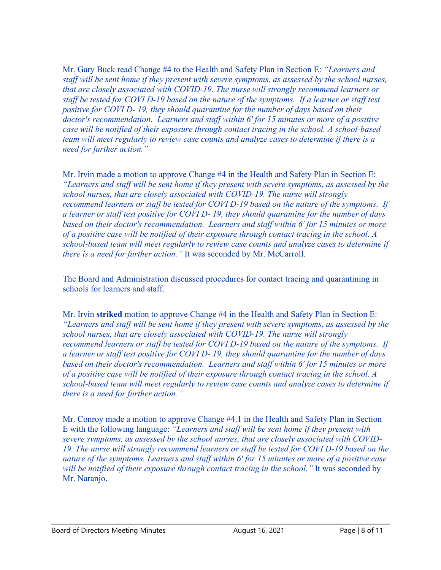Mr. Gary Buck read Change #4 to the Health and Safety Plan in Section E: *"Learners and staff will be sent home if they present with severe symptoms, as assessed by the school nurses, that are closely associated with COVID-19. The nurse will strongly recommend learners or staff be tested for COVI D-19 based on the nature of the symptoms. If a learner or staff test positive for COVI D- 19, they should quarantine for the number of days based on their doctor's recommendation. Learners and staff within 6' for 15 minutes or more of a positive case will be notified of their exposure through contact tracing in the school. A school-based team will meet regularly to review case counts and analyze cases to determine if there is a need for further action."*

Mr. Irvin made a motion to approve Change #4 in the Health and Safety Plan in Section E: *"Learners and staff will be sent home if they present with severe symptoms, as assessed by the school nurses, that are closely associated with COVID-19. The nurse will strongly recommend learners or staff be tested for COVI D-19 based on the nature of the symptoms. If a learner or staff test positive for COVI D- 19, they should quarantine for the number of days based on their doctor's recommendation. Learners and staff within 6' for 15 minutes or more of a positive case will be notified of their exposure through contact tracing in the school. A school-based team will meet regularly to review case counts and analyze cases to determine if there is a need for further action."* It was seconded by Mr. McCarroll.

The Board and Administration discussed procedures for contact tracing and quarantining in schools for learners and staff.

Mr. Irvin **striked** motion to approve Change #4 in the Health and Safety Plan in Section E: *"Learners and staff will be sent home if they present with severe symptoms, as assessed by the school nurses, that are closely associated with COVID-19. The nurse will strongly recommend learners or staff be tested for COVI D-19 based on the nature of the symptoms. If a learner or staff test positive for COVI D- 19, they should quarantine for the number of days based on their doctor's recommendation. Learners and staff within 6' for 15 minutes or more of a positive case will be notified of their exposure through contact tracing in the school. A school-based team will meet regularly to review case counts and analyze cases to determine if there is a need for further action."*

Mr. Conroy made a motion to approve Change #4.1 in the Health and Safety Plan in Section E with the following language: *"Learners and staff will be sent home if they present with severe symptoms, as assessed by the school nurses, that are closely associated with COVID-19. The nurse will strongly recommend learners or staff be tested for COVI D-19 based on the nature of the symptoms. Learners and staff within 6' for 15 minutes or more of a positive case will be notified of their exposure through contact tracing in the school."* It was seconded by Mr. Naranjo.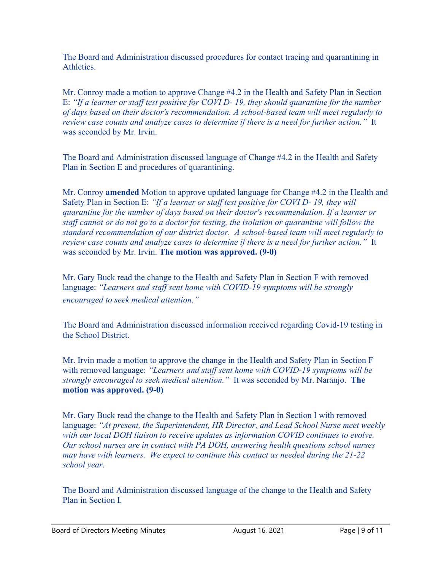The Board and Administration discussed procedures for contact tracing and quarantining in Athletics.

Mr. Conroy made a motion to approve Change #4.2 in the Health and Safety Plan in Section E: *"If a learner or staff test positive for COVI D- 19, they should quarantine for the number of days based on their doctor's recommendation. A school-based team will meet regularly to review case counts and analyze cases to determine if there is a need for further action."* It was seconded by Mr. Irvin.

The Board and Administration discussed language of Change #4.2 in the Health and Safety Plan in Section E and procedures of quarantining.

Mr. Conroy **amended** Motion to approve updated language for Change #4.2 in the Health and Safety Plan in Section E: *"If a learner or staff test positive for COVI D- 19, they will quarantine for the number of days based on their doctor's recommendation. If a learner or staff cannot or do not go to a doctor for testing, the isolation or quarantine will follow the standard recommendation of our district doctor. A school-based team will meet regularly to review case counts and analyze cases to determine if there is a need for further action."* It was seconded by Mr. Irvin. **The motion was approved. (9-0)**

Mr. Gary Buck read the change to the Health and Safety Plan in Section F with removed language: *"Learners and staff sent home with COVID-19 symptoms will be strongly encouraged to seek medical attention."*

The Board and Administration discussed information received regarding Covid-19 testing in the School District.

Mr. Irvin made a motion to approve the change in the Health and Safety Plan in Section F with removed language: *"Learners and staff sent home with COVID-19 symptoms will be strongly encouraged to seek medical attention."* It was seconded by Mr. Naranjo. **The motion was approved. (9-0)**

Mr. Gary Buck read the change to the Health and Safety Plan in Section I with removed language: *"At present, the Superintendent, HR Director, and Lead School Nurse meet weekly with our local DOH liaison to receive updates as information COVID continues to evolve. Our school nurses are in contact with PA DOH, answering health questions school nurses may have with learners. We expect to continue this contact as needed during the 21-22 school year.*

The Board and Administration discussed language of the change to the Health and Safety Plan in Section I.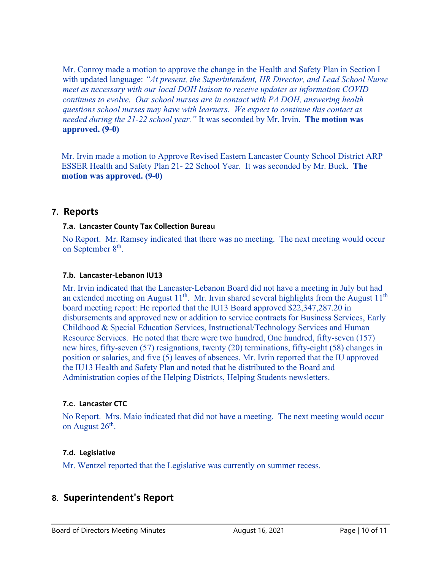Mr. Conroy made a motion to approve the change in the Health and Safety Plan in Section I with updated language: *"At present, the Superintendent, HR Director, and Lead School Nurse meet as necessary with our local DOH liaison to receive updates as information COVID continues to evolve. Our school nurses are in contact with PA DOH, answering health questions school nurses may have with learners. We expect to continue this contact as needed during the 21-22 school year."* It was seconded by Mr. Irvin. **The motion was approved. (9-0)**

Mr. Irvin made a motion to Approve Revised Eastern Lancaster County School District ARP ESSER Health and Safety Plan 21- 22 School Year. It was seconded by Mr. Buck. **The motion was approved. (9-0)**

# **7. Reports**

# **7.a. Lancaster County Tax Collection Bureau**

No Report. Mr. Ramsey indicated that there was no meeting. The next meeting would occur on September  $8<sup>th</sup>$ .

#### **7.b. Lancaster-Lebanon IU13**

Mr. Irvin indicated that the Lancaster-Lebanon Board did not have a meeting in July but had an extended meeting on August  $11<sup>th</sup>$ . Mr. Irvin shared several highlights from the August  $11<sup>th</sup>$ board meeting report: He reported that the IU13 Board approved \$22,347,287.20 in disbursements and approved new or addition to service contracts for Business Services, Early Childhood & Special Education Services, Instructional/Technology Services and Human Resource Services. He noted that there were two hundred, One hundred, fifty-seven (157) new hires, fifty-seven (57) resignations, twenty (20) terminations, fifty-eight (58) changes in position or salaries, and five (5) leaves of absences. Mr. Ivrin reported that the IU approved the IU13 Health and Safety Plan and noted that he distributed to the Board and Administration copies of the Helping Districts, Helping Students newsletters.

# **7.c. Lancaster CTC**

No Report. Mrs. Maio indicated that did not have a meeting. The next meeting would occur on August  $26<sup>th</sup>$ .

# **7.d. Legislative**

Mr. Wentzel reported that the Legislative was currently on summer recess.

# **8. Superintendent's Report**